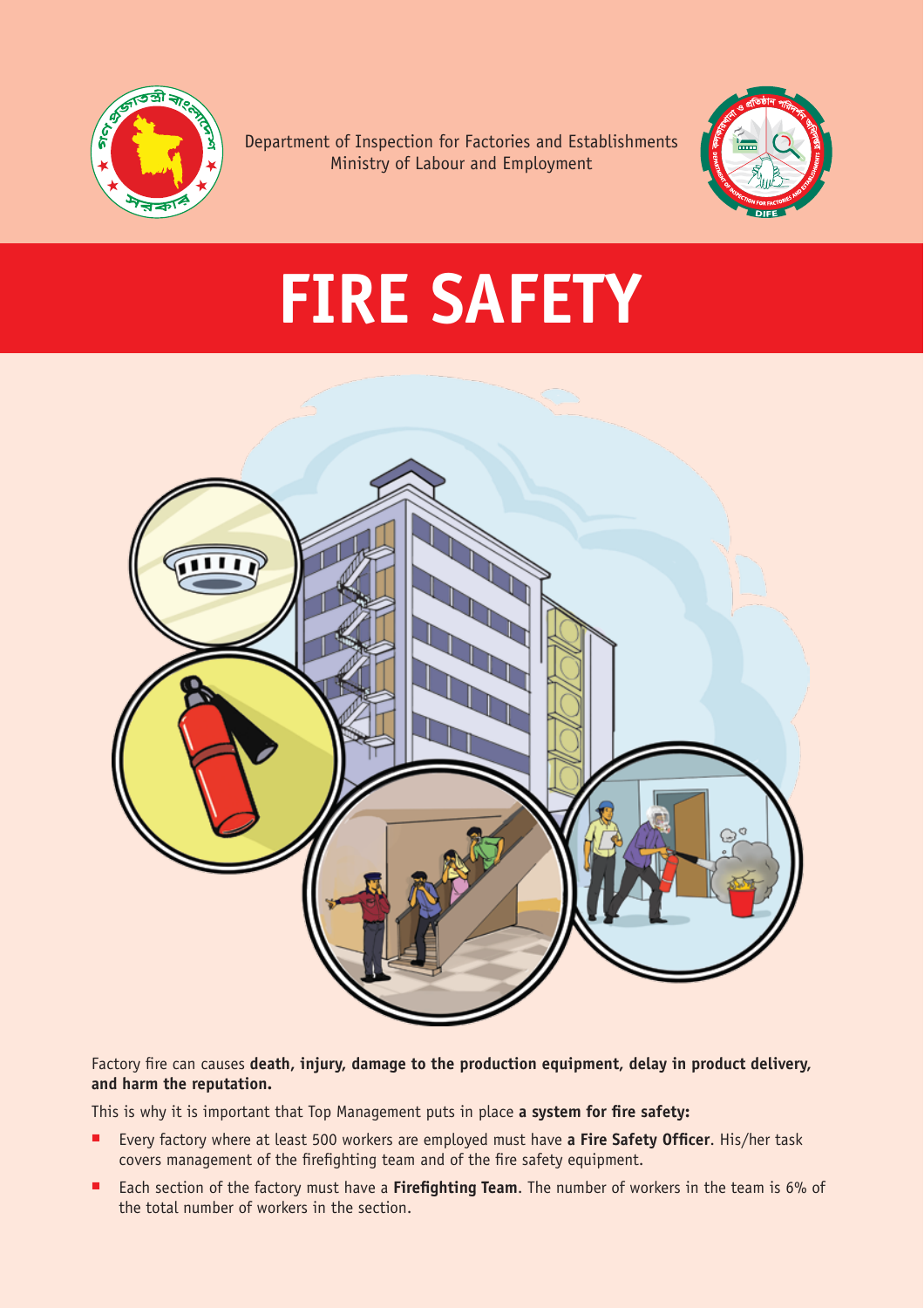

Department of Inspection for Factories and Establishments Ministry of Labour and Employment



## **FIRE SAFETY**



Factory fire can causes **death, injury, damage to the production equipment, delay in product delivery, and harm the reputation.** 

This is why it is important that Top Management puts in place **a system for fire safety:**

- Every factory where at least 500 workers are employed must have **a Fire Safety Officer**. His/her task covers management of the firefighting team and of the fire safety equipment.
- Each section of the factory must have a Firefighting Team. The number of workers in the team is 6% of the total number of workers in the section.